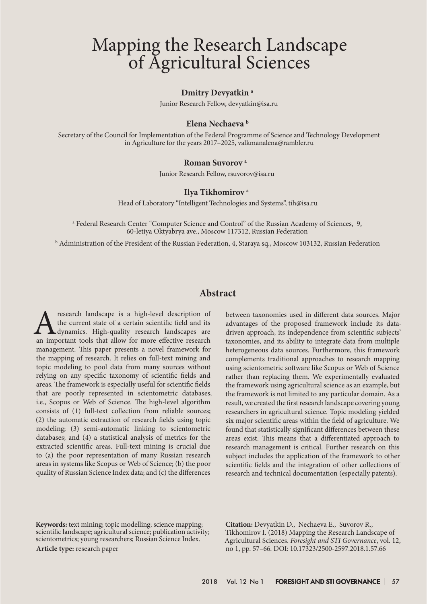# Mapping the Research Landscape of Agricultural Sciences

#### **Dmitry Devyatkin a**

Junior Research Fellow, devyatkin@isa.ru

#### **Elena Nechaeva b**

Secretary of the Council for Implementation of the Federal Programme of Science and Technology Development in Agriculture for the years 2017–2025, valkmanalena@rambler.ru

#### **Roman Suvorov a**

Junior Research Fellow, rsuvorov@isa.ru

#### **Ilya Tikhomirov a**

Head of Laboratory "Intelligent Technologies and Systems", tih@isa.ru

a Federal Research Center "Computer Science and Control" of the Russian Academy of Sciences, 9, 60-letiya Oktyabrya ave., Moscow 117312, Russian Federation

 $^{\rm b}$  Administration of the President of the Russian Federation, 4, Staraya sq., Moscow 103132, Russian Federation

## **Abstract**

research landscape is a high-level description of the current state of a certain scientific field and its dynamics. High-quality research landscapes are an important tools that allow for more effective research management. This paper presents a novel framework for the mapping of research. It relies on full-text mining and topic modeling to pool data from many sources without relying on any specific taxonomy of scientific fields and areas. The framework is especially useful for scientific fields that are poorly represented in scientometric databases, i.e., Scopus or Web of Science. The high-level algorithm consists of (1) full-text collection from reliable sources; (2) the automatic extraction of research fields using topic modeling; (3) semi-automatic linking to scientometric databases; and (4) a statistical analysis of metrics for the extracted scientific areas. Full-text mining is crucial due to (a) the poor representation of many Russian research areas in systems like Scopus or Web of Science; (b) the poor quality of Russian Science Index data; and (c) the differences

between taxonomies used in different data sources. Major advantages of the proposed framework include its datadriven approach, its independence from scientific subjects' taxonomies, and its ability to integrate data from multiple heterogeneous data sources. Furthermore, this framework complements traditional approaches to research mapping using scientometric software like Scopus or Web of Science rather than replacing them. We experimentally evaluated the framework using agricultural science as an example, but the framework is not limited to any particular domain. As a result, we created the first research landscape covering young researchers in agricultural science. Topic modeling yielded six major scientific areas within the field of agriculture. We found that statistically significant differences between these areas exist. This means that a differentiated approach to research management is critical. Further research on this subject includes the application of the framework to other scientific fields and the integration of other collections of research and technical documentation (especially patents).

**Keywords:** text mining; topic modelling; science mapping; scientific landscape; agricultural science; publication activity; scientometrics; young researchers; Russian Science Index. **Article type:** research paper

**Citation:** Devyatkin D., Nechaeva E., Suvorov R., Tikhomirov I. (2018) Mapping the Research Landscape of Agricultural Sciences. *Foresight and STI Governance*, vol. 12, no 1, pp. 57–66. DOI: 10.17323/2500-2597.2018.1.57.66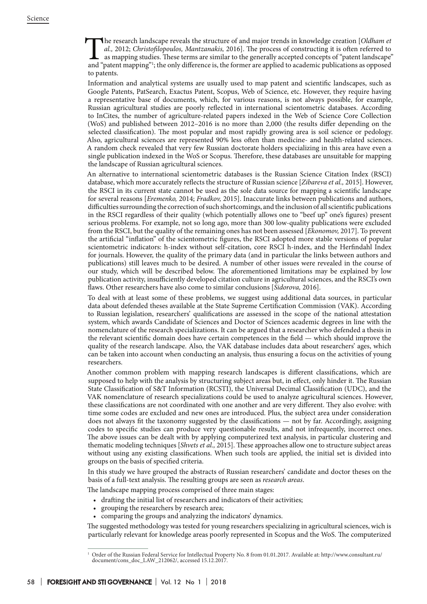The research landscape reveals the structure of and major trends in knowledge creation [*Oldham et al.*, 2012; *Christofilopoulos*, *Mantzanakis*, 2016]. The process of constructing it is often referred to as mapping studi *al.,* 2012; *Christofilopoulos, Mantzanakis,* 2016]. The process of constructing it is often referred to as mapping studies. These terms are similar to the generally accepted concepts of "patent landscape" and "patent mapping"1 ; the only difference is, the former are applied to academic publications as opposed to patents.

Information and analytical systems are usually used to map patent and scientific landscapes, such as Google Patents, PatSearch, Exactus Patent, Scopus, Web of Science, etc. However, they require having a representative base of documents, which, for various reasons, is not always possible, for example, Russian agricultural studies are poorly reflected in international scientometric databases. According to InCites, the number of agriculture-related papers indexed in the Web of Science Core Collection (WoS) and published between 2012–2016 is no more than 2,000 (the results differ depending on the selected classification). The most popular and most rapidly growing area is soil science or pedology. Also, agricultural sciences are represented 90% less often than medicine- and health-related sciences. A random check revealed that very few Russian doctorate holders specializing in this area have even a single publication indexed in the WoS or Scopus. Therefore, these databases are unsuitable for mapping the landscape of Russian agricultural sciences.

An alternative to international scientometric databases is the Russian Science Citation Index (RSCI) database, which more accurately reflects the structure of Russian science [*Zibareva et al.,* 2015]. However, the RSCI in its current state cannot be used as the sole data source for mapping a scientific landscape for several reasons [*Eremenko,* 2014; *Fradkov,* 2015]. Inaccurate links between publications and authors, difficulties surrounding the correction of such shortcomings, and the inclusion of all scientific publications in the RSCI regardless of their quality (which potentially allows one to "beef up" one's figures) present serious problems. For example, not so long ago, more than 300 low-quality publications were excluded from the RSCI, but the quality of the remaining ones has not been assessed [*Ekonomov,* 2017]. To prevent the artificial "inflation" of the scientometric figures, the RSCI adopted more stable versions of popular scientometric indicators: h-index without self-citation, core RSCI h-index, and the Herfindahl Index for journals. However, the quality of the primary data (and in particular the links between authors and publications) still leaves much to be desired. A number of other issues were revealed in the course of our study, which will be described below. The aforementioned limitations may be explained by low publication activity, insufficiently developed citation culture in agricultural sciences, and the RSCI's own flaws. Other researchers have also come to similar conclusions [*Sidorova,* 2016].

To deal with at least some of these problems, we suggest using additional data sources, in particular data about defended theses available at the State Supreme Certification Commission (VAK). According to Russian legislation, researchers' qualifications are assessed in the scope of the national attestation system, which awards Candidate of Sciences and Doctor of Sciences academic degrees in line with the nomenclature of the research specializations. It can be argued that a researcher who defended a thesis in the relevant scientific domain does have certain competences in the field — which should improve the quality of the research landscape. Also, the VAK database includes data about researchers' ages, which can be taken into account when conducting an analysis, thus ensuring a focus on the activities of young researchers.

Another common problem with mapping research landscapes is different classifications, which are supposed to help with the analysis by structuring subject areas but, in effect, only hinder it. The Russian State Classification of S&T Information (RCSTI), the Universal Decimal Classification (UDC), and the VAK nomenclature of research specializations could be used to analyze agricultural sciences. However, these classifications are not coordinated with one another and are very different. They also evolve: with time some codes are excluded and new ones are introduced. Plus, the subject area under consideration does not always fit the taxonomy suggested by the classifications — not by far. Accordingly, assigning codes to specific studies can produce very questionable results, and not infrequently, incorrect ones. The above issues can be dealt with by applying computerized text analysis, in particular clustering and thematic modeling techniques [*Shvets et al.,* 2015]. These approaches allow one to structure subject areas without using any existing classifications. When such tools are applied, the initial set is divided into groups on the basis of specified criteria.

In this study we have grouped the abstracts of Russian researchers' candidate and doctor theses on the basis of a full-text analysis. The resulting groups are seen as *research areas*.

The landscape mapping process comprised of three main stages:

- • drafting the initial list of researchers and indicators of their activities;
- grouping the researchers by research area;
- comparing the groups and analyzing the indicators' dynamics.

The suggested methodology was tested for young researchers specializing in agricultural sciences, wich is particularly relevant for knowledge areas poorly represented in Scopus and the WoS. The computerized

<sup>1</sup> Order of the Russian Federal Service for Intellectual Property No. 8 from 01.01.2017. Available at: http://www.consultant.ru/ document/cons\_doc\_LAW\_212062/, accessed 15.12.2017.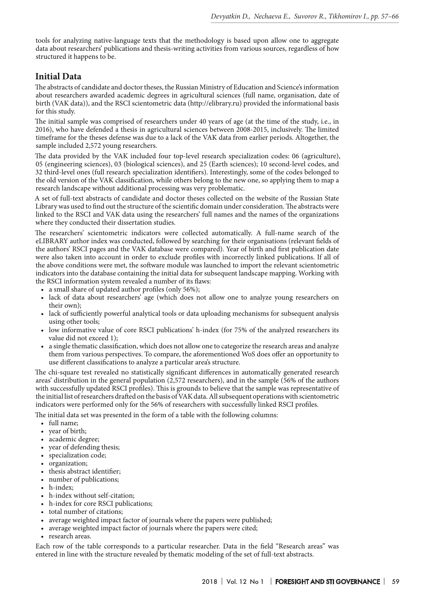tools for analyzing native-language texts that the methodology is based upon allow one to aggregate data about researchers' publications and thesis-writing activities from various sources, regardless of how structured it happens to be.

# **Initial Data**

The abstracts of candidate and doctor theses, the Russian Ministry of Education and Science's information about researchers awarded academic degrees in agricultural sciences (full name, organisation, date of birth (VAK data)), and the RSCI scientometric data (http://elibrary.ru) provided the informational basis for this study.

The initial sample was comprised of researchers under 40 years of age (at the time of the study, i.e., in 2016), who have defended a thesis in agricultural sciences between 2008-2015, inclusively. The limited timeframe for the theses defense was due to a lack of the VAK data from earlier periods. Altogether, the sample included 2,572 young researchers.

The data provided by the VAK included four top-level research specialization codes: 06 (agriculture), 05 (engineering sciences), 03 (biological sciences), and 25 (Earth sciences); 10 second-level codes, and 32 third-level ones (full research specialization identifiers). Interestingly, some of the codes belonged to the old version of the VAK classification, while others belong to the new one, so applying them to map a research landscape without additional processing was very problematic.

A set of full-text abstracts of candidate and doctor theses collected on the website of the Russian State Library was used to find out the structure of the scientific domain under consideration. The abstracts were linked to the RSCI and VAK data using the researchers' full names and the names of the organizations where they conducted their dissertation studies.

The researchers' scientometric indicators were collected automatically. A full-name search of the eLIBRARY author index was conducted, followed by searching for their organisations (relevant fields of the authors' RSCI pages and the VAK database were compared). Year of birth and first publication date were also taken into account in order to exclude profiles with incorrectly linked publications. If all of the above conditions were met, the software module was launched to import the relevant scientometric indicators into the database containing the initial data for subsequent landscape mapping. Working with the RSCI information system revealed a number of its flaws:

- a small share of updated author profiles (only 56%);
- lack of data about researchers' age (which does not allow one to analyze young researchers on their own);
- • lack of sufficiently powerful analytical tools or data uploading mechanisms for subsequent analysis using other tools;
- low informative value of core RSCI publications' h-index (for 75% of the analyzed researchers its value did not exceed 1);
- a single thematic classification, which does not allow one to categorize the research areas and analyze them from various perspectives. To compare, the aforementioned WoS does offer an opportunity to use different classifications to analyze a particular area's structure.

The chi-square test revealed no statistically significant differences in automatically generated research areas' distribution in the general population (2,572 researchers), and in the sample (56% of the authors with successfully updated RSCI profiles). This is grounds to believe that the sample was representative of the initial list of researchers drafted on the basis of VAK data. All subsequent operations with scientometric indicators were performed only for the 56% of researchers with successfully linked RSCI profiles.

The initial data set was presented in the form of a table with the following columns:

- • full name;
- year of birth;
- academic degree;
- year of defending thesis;
- specialization code;
- organization;
- thesis abstract identifier;
- • number of publications;
- h-index;
- • h-index without self-citation;
- • h-index for core RSCI publications;
- total number of citations;
- average weighted impact factor of journals where the papers were published;
- • average weighted impact factor of journals where the papers were cited;
- research areas.

Each row of the table corresponds to a particular researcher. Data in the field "Research areas" was entered in line with the structure revealed by thematic modeling of the set of full-text abstracts.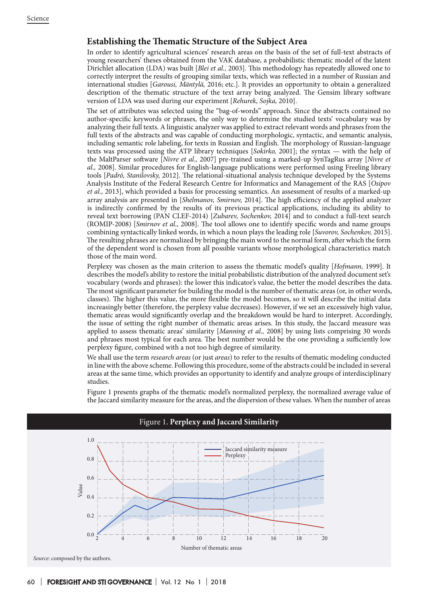## **Establishing the Thematic Structure of the Subject Area**

In order to identify agricultural sciences' research areas on the basis of the set of full-text abstracts of young researchers' theses obtained from the VAK database, a probabilistic thematic model of the latent Dirichlet allocation (LDA) was built [*Blei et al.,* 2003]. This methodology has repeatedly allowed one to correctly interpret the results of grouping similar texts, which was reflected in a number of Russian and international studies [*Garousi, Mäntylä,* 2016; etc.]. It provides an opportunity to obtain a generalized description of the thematic structure of the text array being analyzed. The Gensim library software version of LDA was used during our experiment [*Rehurek, Sojka,* 2010].

The set of attributes was selected using the "bag-of-words" approach. Since the abstracts contained no author-specific keywords or phrases, the only way to determine the studied texts' vocabulary was by analyzing their full texts. A linguistic analyzer was applied to extract relevant words and phrases from the full texts of the abstracts and was capable of conducting morphologic, syntactic, and semantic analysis, including semantic role labeling, for texts in Russian and English. The morphology of Russian-language texts was processed using the ATP library techniques [*Sokirko,* 2001]; the syntax — with the help of the MaltParser software [*Nivre et al.,* 2007] pre-trained using a marked-up SynTagRus array [*Nivre et al.,* 2008]. Similar procedures for English-language publications were performed using Freeling library tools [*Padró, Stanilovsky,* 2012]. The relational-situational analysis technique developed by the Systems Analysis Institute of the Federal Research Centre for Informatics and Management of the RAS [*Osipov et al.,* 2013], which provided a basis for processing semantics. An assessment of results of a marked-up array analysis are presented in [*Shelmanov, Smirnov,* 2014]. The high efficiency of the applied analyzer is indirectly confirmed by the results of its previous practical applications, including its ability to reveal text borrowing (PAN CLEF-2014) [*Zubarev, Sochenkov,* 2014] and to conduct a full-text search (ROMIP-2008) [*Smirnov et al.,* 2008]. The tool allows one to identify specific words and name groups combining syntactically linked words, in which a noun plays the leading role [*Suvorov, Sochenkov,* 2015]. The resulting phrases are normalized by bringing the main word to the normal form, after which the form of the dependent word is chosen from all possible variants whose morphological characteristics match those of the main word.

Perplexy was chosen as the main criterion to assess the thematic model's quality [*Hofmann,* 1999]. It describes the model's ability to restore the initial probabilistic distribution of the analyzed document set's vocabulary (words and phrases): the lower this indicator's value, the better the model describes the data. The most significant parameter for building the model is the number of thematic areas (or, in other words, classes). The higher this value, the more flexible the model becomes, so it will describe the initial data increasingly better (therefore, the perplexy value decreases). However, if we set an excessively high value, thematic areas would significantly overlap and the breakdown would be hard to interpret. Accordingly, the issue of setting the right number of thematic areas arises. In this study, the Jaccard measure was applied to assess thematic areas' similarity [*Manning et al.,* 2008] by using lists comprising 30 words and phrases most typical for each area. The best number would be the one providing a sufficiently low perplexy figure, combined with a not too high degree of similarity.

We shall use the term *research areas* (or just *areas*) to refer to the results of thematic modeling conducted in line with the above scheme. Following this procedure, some of the abstracts could be included in several areas at the same time, which provides an opportunity to identify and analyze groups of interdisciplinary studies.

Figure 1 presents graphs of the thematic model's normalized perplexy, the normalized average value of the Jaccard similarity measure for the areas, and the dispersion of these values. When the number of areas



# Figure 1. **Perplexy and Jaccard Similarity**

*Source*: соmposed by the authors.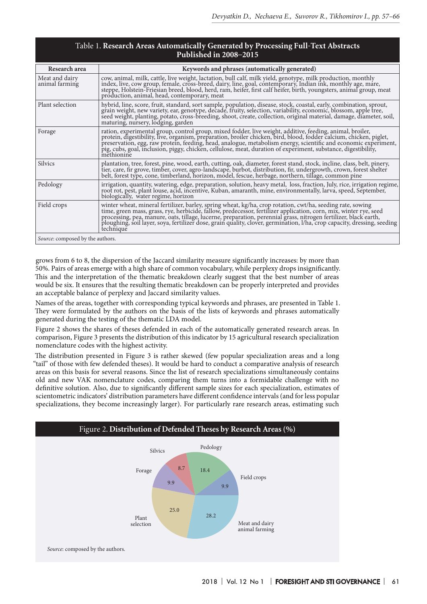| Table 1. Research Areas Automatically Generated by Processing Full-Text Abstracts |
|-----------------------------------------------------------------------------------|
| Published in $2008-2015$                                                          |

| Research area                    | Keywords and phrases (automatically generated)                                                                                                                                                                                                                                                                                                               |
|----------------------------------|--------------------------------------------------------------------------------------------------------------------------------------------------------------------------------------------------------------------------------------------------------------------------------------------------------------------------------------------------------------|
| Meat and dairy<br>animal farming | cow, animal, milk, cattle, live weight, lactation, bull calf, milk yield, genotype, milk production, monthly<br>index, live, cow group, female, cross-breed, dairy, line, goal, contemporary, Indian ink, monthly age, mare,<br>step<br>production, animal, head, contemporary, meat                                                                         |
| Plant selection                  | hybrid, line, score, fruit, standard, sort sample, population, disease, stock, coastal, early, combination, sprout, grain weight, new variety, ear, genotype, decade, fruity, selection, variability, economic, blossom, apple<br>maturing, nursery, lodging, garden                                                                                         |
| Forage                           | ration, experimental group, control group, mixed fodder, live weight, additive, feeding, animal, broiler,<br>Factor, edgestibility, live, organism, preparation, broiler chicken, bird, blood, folder calcium, chicken, piglet,<br>preservation, egg, raw protein, feeding, head, analogue, metabolism energy, scientific and economic experim<br>methionine |
| <b>Silvics</b>                   | plantation, tree, forest, pine, wood, earth, cutting, oak, diameter, forest stand, stock, incline, class, belt, pinery,<br>Fig. care, fir grove, timber, cover, agro-landscape, burbot, distribution, fir, undergrowth, crown, forest shelter<br>belt, forest type, cone, timber, cover, agro-landscape, burbot, distribution, fir, undergrowth, crown, fore |
| Pedology                         | irrigation, quantity, watering, edge, preparation, solution, heavy metal, loss, fraction, July, rice, irrigation regime, root rot, pest, plant louse, acid, incentive, Kuban, amaranth, mine, environmentally, larva, speed, S<br>biologically, water regime, horizon                                                                                        |
| Field crops                      | winter wheat, mineral fertilizer, barley, spring wheat, kg/ha, crop rotation, cwt/ha, seeding rate, sowing<br>time, green mass, grass, rye, herbicide, fallow, predecessor, fertilizer application, corn, mix, winter rye, seed<br>p<br>technique                                                                                                            |
| Source: composed by the authors. |                                                                                                                                                                                                                                                                                                                                                              |

grows from 6 to 8, the dispersion of the Jaccard similarity measure significantly increases: by more than 50%. Pairs of areas emerge with a high share of common vocabulary, while perplexy drops insignificantly. This and the interpretation of the thematic breakdown clearly suggest that the best number of areas would be six. It ensures that the resulting thematic breakdown can be properly interpreted and provides an acceptable balance of perplexy and Jaccard similarity values.

Names of the areas, together with corresponding typical keywords and phrases, are presented in Table 1. They were formulated by the authors on the basis of the lists of keywords and phrases automatically generated during the testing of the thematic LDA model.

Figure 2 shows the shares of theses defended in each of the automatically generated research areas. In comparison, Figure 3 presents the distribution of this indicator by 15 agricultural research specialization nomenclature codes with the highest activity.

The distribution presented in Figure 3 is rather skewed (few popular specialization areas and a long "tail" of those with few defended theses). It would be hard to conduct a comparative analysis of research areas on this basis for several reasons. Since the list of research specializations simultaneously contains old and new VAK nomenclature codes, comparing them turns into a formidable challenge with no definitive solution. Also, due to significantly different sample sizes for each specialization, estimates of scientometric indicators' distribution parameters have different confidence intervals (and for less popular specializations, they become increasingly larger). For particularly rare research areas, estimating such

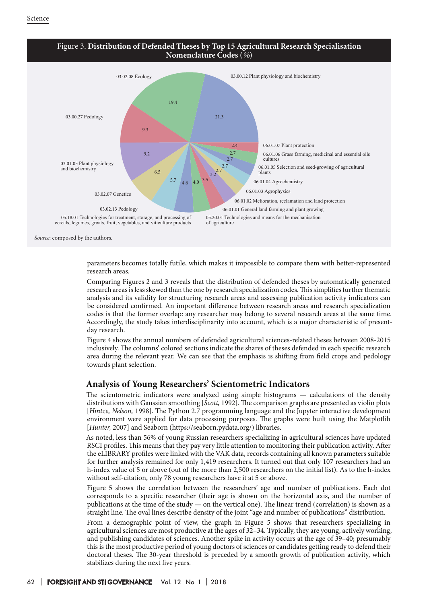

parameters becomes totally futile, which makes it impossible to compare them with better-represented research areas.

Comparing Figures 2 and 3 reveals that the distribution of defended theses by automatically generated research areas is less skewed than the one by research specialization codes. This simplifies further thematic analysis and its validity for structuring research areas and assessing publication activity indicators can be considered confirmed. An important difference between research areas and research specialization codes is that the former overlap: any researcher may belong to several research areas at the same time. Accordingly, the study takes interdisciplinarity into account, which is a major characteristic of presentday research.

Figure 4 shows the annual numbers of defended agricultural sciences-related theses between 2008-2015 inclusively. The columns' colored sections indicate the shares of theses defended in each specific research area during the relevant year. We can see that the emphasis is shifting from field crops and pedology towards plant selection.

## **Analysis of Young Researchers' Scientometric Indicators**

The scientometric indicators were analyzed using simple histograms — calculations of the density distributions with Gaussian smoothing [*Scott,* 1992]. The comparison graphs are presented as violin plots [*Hintze, Nelson,* 1998]. The Python 2.7 programming language and the Jupyter interactive development environment were applied for data processing purposes. The graphs were built using the Matplotlib [*Hunter,* 2007] and Seaborn (https://seaborn.pydata.org/) libraries.

As noted, less than 56% of young Russian researchers specializing in agricultural sciences have updated RSCI profiles. This means that they pay very little attention to monitoring their publication activity. After the eLIBRARY profiles were linked with the VAK data, records containing all known parameters suitable for further analysis remained for only 1,419 researchers. It turned out that only 107 researchers had an h-index value of 5 or above (out of the more than 2,500 researchers on the initial list). As to the h-index without self-citation, only 78 young researchers have it at 5 or above.

Figure 5 shows the correlation between the researchers' age and number of publications. Each dot corresponds to a specific researcher (their age is shown on the horizontal axis, and the number of publications at the time of the study — on the vertical one). The linear trend (correlation) is shown as a straight line. The oval lines describe density of the joint "age and number of publications" distribution.

From a demographic point of view, the graph in Figure 5 shows that researchers specializing in agricultural sciences are most productive at the ages of 32–34. Typically, they are young, actively working, and publishing candidates of sciences. Another spike in activity occurs at the age of 39–40; presumably this is the most productive period of young doctors of sciences or candidates getting ready to defend their doctoral theses. The 30-year threshold is preceded by a smooth growth of publication activity, which stabilizes during the next five years.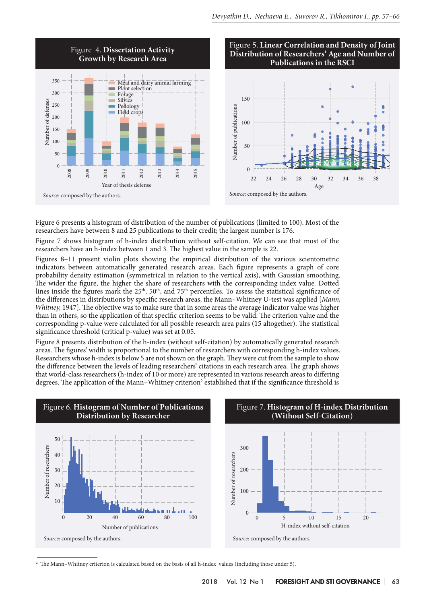

Figure 6 presents a histogram of distribution of the number of publications (limited to 100). Most of the researchers have between 8 and 25 publications to their credit; the largest number is 176.

Figure 7 shows histogram of h-index distribution without self-citation. We can see that most of the researchers have an h-index between 1 and 3. The highest value in the sample is 22.

Figures 8–11 present violin plots showing the empirical distribution of the various scientometric indicators between automatically generated research areas. Each figure represents a graph of core probability density estimation (symmetrical in relation to the vertical axis), with Gaussian smoothing. The wider the figure, the higher the share of researchers with the corresponding index value. Dotted lines inside the figures mark the  $25<sup>th</sup>$ , 50<sup>th</sup>, and 75<sup>th</sup> percentiles. To assess the statistical significance of the differences in distributions by specific research areas, the Mann–Whitney U-test was applied [*Mann, Whitney,* 1947]. The objective was to make sure that in some areas the average indicator value was higher than in others, so the application of that specific criterion seems to be valid. The criterion value and the corresponding p-value were calculated for all possible research area pairs (15 altogether). The statistical significance threshold (critical p-value) was set at 0.05.

Figure 8 presents distribution of the h-index (without self-citation) by automatically generated research areas. The figures' width is proportional to the number of researchers with corresponding h-index values. Researchers whose h-index is below 5 are not shown on the graph. They were cut from the sample to show the difference between the levels of leading researchers' citations in each research area. The graph shows that world-class researchers (h-index of 10 or more) are represented in various research areas to differing degrees. The application of the Mann–Whitney criterion<sup>2</sup> established that if the significance threshold is



<sup>2</sup> The Mann–Whitney criterion is calculated based on the basis of all h-index values (including those under 5).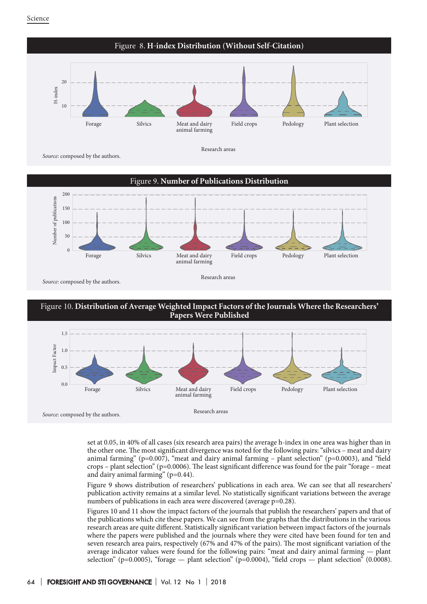







set at 0.05, in 40% of all cases (six research area pairs) the average h-index in one area was higher than in the other one. The most significant divergence was noted for the following pairs: "silvics – meat and dairy animal farming" (p=0.007), "meat and dairy animal farming – plant selection" (p=0.0003), and "field crops – plant selection" ( $p=0.0006$ ). The least significant difference was found for the pair "forage – meat" and dairy animal farming" (p=0.44).

Figure 9 shows distribution of researchers' publications in each area. We can see that all researchers' publication activity remains at a similar level. No statistically significant variations between the average numbers of publications in each area were discovered (average  $p=0.28$ ).

Figures 10 and 11 show the impact factors of the journals that publish the researchers' papers and that of the publications which cite these papers. We can see from the graphs that the distributions in the various research areas are quite different. Statistically significant variation between impact factors of the journals where the papers were published and the journals where they were cited have been found for ten and seven research area pairs, respectively (67% and 47% of the pairs). The most significant variation of the average indicator values were found for the following pairs: "meat and dairy animal farming — plant selection" (p=0.0005), "forage — plant selection" (p=0.0004), "field crops — plant selection" (0.0008).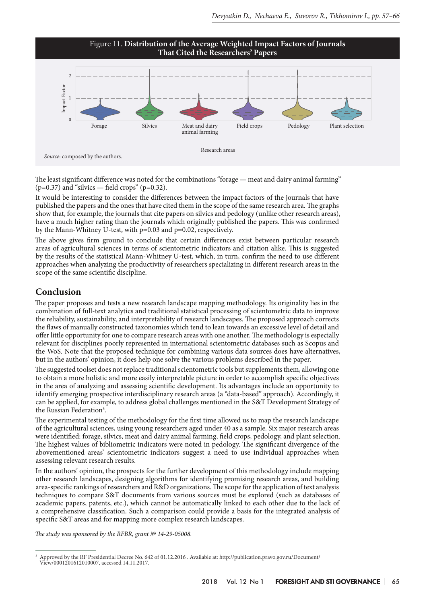

The least significant difference was noted for the combinations "forage — meat and dairy animal farming"  $(p=0.37)$  and "silvics — field crops" (p=0.32).

It would be interesting to consider the differences between the impact factors of the journals that have published the papers and the ones that have cited them in the scope of the same research area. The graphs show that, for example, the journals that cite papers on silvics and pedology (unlike other research areas), have a much higher rating than the journals which originally published the papers. This was confirmed by the Mann-Whitney U-test, with p=0.03 and p=0.02, respectively.

The above gives firm ground to conclude that certain differences exist between particular research areas of agricultural sciences in terms of scientometric indicators and citation alike. This is suggested by the results of the statistical Mann-Whitney U-test, which, in turn, confirm the need to use different approaches when analyzing the productivity of researchers specializing in different research areas in the scope of the same scientific discipline.

## **Conclusion**

The paper proposes and tests a new research landscape mapping methodology. Its originality lies in the combination of full-text analytics and traditional statistical processing of scientometric data to improve the reliability, sustainability, and interpretability of research landscapes. The proposed approach corrects the flaws of manually constructed taxonomies which tend to lean towards an excessive level of detail and offer little opportunity for one to compare research areas with one another. The methodology is especially relevant for disciplines poorly represented in international scientometric databases such as Scopus and the WoS. Note that the proposed technique for combining various data sources does have alternatives, but in the authors' opinion, it does help one solve the various problems described in the paper.

The suggested toolset does not replace traditional scientometric tools but supplements them, allowing one to obtain a more holistic and more easily interpretable picture in order to accomplish specific objectives in the area of analyzing and assessing scientific development. Its advantages include an opportunity to identify emerging prospective interdisciplinary research areas (a "data-based" approach). Accordingly, it can be applied, for example, to address global challenges mentioned in the S&T Development Strategy of the Russian Federation<sup>3</sup>.

The experimental testing of the methodology for the first time allowed us to map the research landscape of the agricultural sciences, using young researchers aged under 40 as a sample. Six major research areas were identified: forage, silvics, meat and dairy animal farming, field crops, pedology, and plant selection. The highest values of bibliometric indicators were noted in pedology. The significant divergence of the abovementioned areas' scientometric indicators suggest a need to use individual approaches when assessing relevant research results.

In the authors' opinion, the prospects for the further development of this methodology include mapping other research landscapes, designing algorithms for identifying promising research areas, and building area-specific rankings of researchers and R&D organizations. The scope for the application of text analysis techniques to compare S&T documents from various sources must be explored (such as databases of academic papers, patents, etc.), which cannot be automatically linked to each other due to the lack of a comprehensive classification. Such a comparison could provide a basis for the integrated analysis of specific S&T areas and for mapping more complex research landscapes.

*The study was sponsored by the RFBR, grant № 14-29-05008.*

<sup>3</sup> Approved by the RF Presidential Decree No. 642 of 01.12.2016 . Available at: http://publication.pravo.gov.ru/Document/ View/0001201612010007, accessed 14.11.2017.